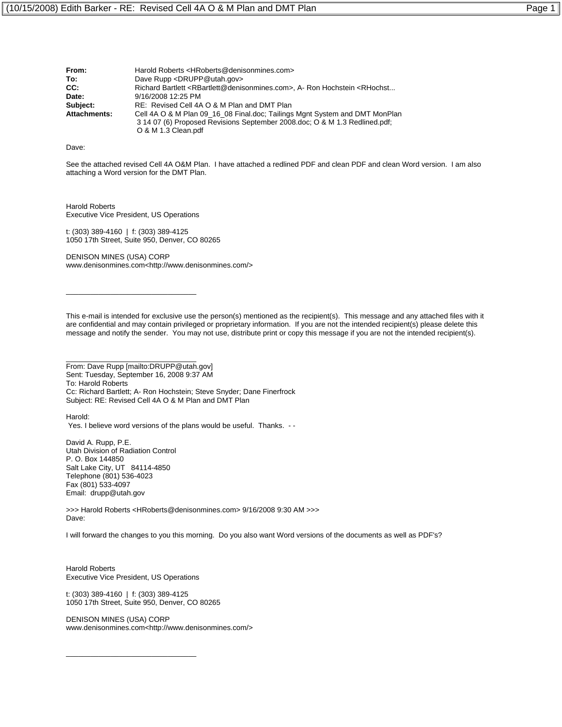| From:               | Harold Roberts <hroberts@denisonmines.com></hroberts@denisonmines.com>                                                                                                           |
|---------------------|----------------------------------------------------------------------------------------------------------------------------------------------------------------------------------|
| To:                 | Dave Rupp <drupp@utah.gov></drupp@utah.gov>                                                                                                                                      |
| CC:                 | Richard Bartlett <rbartlett@denisonmines.com>, A- Ron Hochstein <rhochst< td=""></rhochst<></rbartlett@denisonmines.com>                                                         |
| Date:               | 9/16/2008 12:25 PM                                                                                                                                                               |
| Subject:            | RE: Revised Cell 4A O & M Plan and DMT Plan                                                                                                                                      |
| <b>Attachments:</b> | Cell 4A O & M Plan 09_16_08 Final.doc; Tailings Mgnt System and DMT MonPlan<br>3 14 07 (6) Proposed Revisions September 2008.doc: O & M 1.3 Redlined.pdf:<br>O & M 1.3 Clean.pdf |

Dave:

See the attached revised Cell 4A O&M Plan. I have attached a redlined PDF and clean PDF and clean Word version. I am also attaching a Word version for the DMT Plan.

Harold Roberts Executive Vice President, US Operations

\_\_\_\_\_\_\_\_\_\_\_\_\_\_\_\_\_\_\_\_\_\_\_\_\_\_\_\_\_\_\_\_

\_\_\_\_\_\_\_\_\_\_\_\_\_\_\_\_\_\_\_\_\_\_\_\_\_\_\_\_\_\_\_\_

t: (303) 389-4160 | f: (303) 389-4125 1050 17th Street, Suite 950, Denver, CO 80265

DENISON MINES (USA) CORP www.denisonmines.com<http://www.denisonmines.com/>

This e-mail is intended for exclusive use the person(s) mentioned as the recipient(s). This message and any attached files with it are confidential and may contain privileged or proprietary information. If you are not the intended recipient(s) please delete this message and notify the sender. You may not use, distribute print or copy this message if you are not the intended recipient(s).

From: Dave Rupp [mailto:DRUPP@utah.gov] Sent: Tuesday, September 16, 2008 9:37 AM To: Harold Roberts Cc: Richard Bartlett; A- Ron Hochstein; Steve Snyder; Dane Finerfrock Subject: RE: Revised Cell 4A O & M Plan and DMT Plan

Harold: Yes. I believe word versions of the plans would be useful. Thanks. - -

David A. Rupp, P.E. Utah Division of Radiation Control P. O. Box 144850 Salt Lake City, UT 84114-4850 Telephone (801) 536-4023 Fax (801) 533-4097 Email: drupp@utah.gov

>>> Harold Roberts <HRoberts@denisonmines.com> 9/16/2008 9:30 AM >>> Dave:

I will forward the changes to you this morning. Do you also want Word versions of the documents as well as PDF's?

Harold Roberts Executive Vice President, US Operations

\_\_\_\_\_\_\_\_\_\_\_\_\_\_\_\_\_\_\_\_\_\_\_\_\_\_\_\_\_\_\_\_

t: (303) 389-4160 | f: (303) 389-4125 1050 17th Street, Suite 950, Denver, CO 80265

DENISON MINES (USA) CORP www.denisonmines.com<http://www.denisonmines.com/>